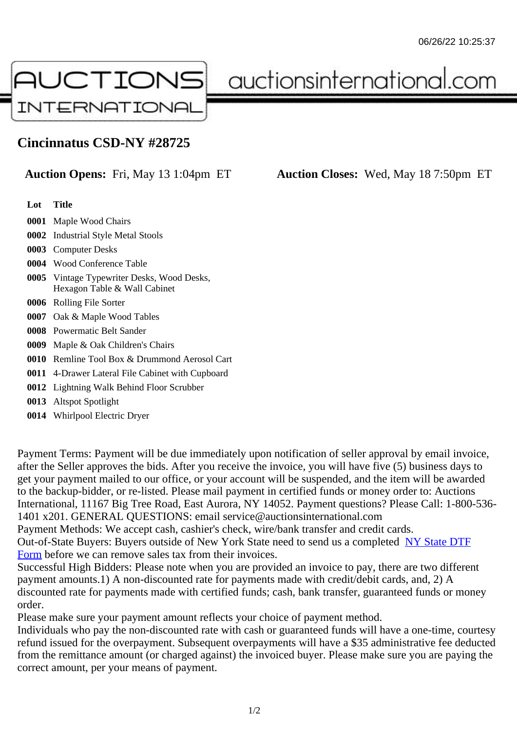## Cincinnatus CSD-NY #28725

Auction Opens: Fri, May 13 1:04pm ET Auction Closes: Wed, May 18 7:50pm ET

Lot Title

- 0001 Maple Wood Chairs
- 0002 Industrial Style Metal Stools
- 0003 Computer Desks
- 0004 Wood Conference Table
- 0005 Vintage Typewriter Desks, Wood Desks, Hexagon Table & Wall Cabinet
- 0006 Rolling File Sorter
- 0007 Oak & Maple Wood Tables
- 0008 Powermatic Belt Sander
- 0009 Maple & Oak Children's Chairs
- 0010 Remline Tool Box & Drummond Aerosol Cart
- 0011 4-Drawer Lateral File Cabinet with Cupboard
- 0012 Lightning Walk Behind Floor Scrubber
- 0013 Altspot Spotlight
- 0014 Whirlpool Electric Dryer

Payment Terms: Payment will be due immediately upon notification of seller approval by email invoice, after the Seller approves the bids. After you receive the invoice, you will have five (5) business days to get your payment mailed to our office, or your account will be suspended, and the item will be awarded to the backup-bidder, or re-listed. Please mail payment in certified funds or money order to: Auctions International, 11167 Big Tree Road, East Aurora, NY 14052. Payment questions? Please Call: 1-800-53 1401 x201. GENERAL QUESTIONS: email service@auctionsinternational.com

Payment Methods: We accept cash, cashier's check, wire/bank transfer and credit cards.

Out-of-State Buyers: Buyers outside of New York State need to send us a com blestate DTF

Form before we can remove sales tax from their invoices.

Successful High Bidders: Please note when you are provided an invoice to pay, there are two different payment amounts.1) A non-discounted rate for payments made with credit/de[bit cards, and](https://www.auctionsinternational.com/auxiliary/downloads/DTF_Form/dtf_fill_in.pdf), 2) A [disco](https://www.auctionsinternational.com/auxiliary/downloads/DTF_Form/dtf_fill_in.pdf)unted rate for payments made with certified funds; cash, bank transfer, guaranteed funds or mone order.

Please make sure your payment amount reflects your choice of payment method.

Individuals who pay the non-discounted rate with cash or guaranteed funds will have a one-time, courte refund issued for the overpayment. Subsequent overpayments will have a \$35 administrative fee deduc from the remittance amount (or charged against) the invoiced buyer. Please make sure you are paying correct amount, per your means of payment.